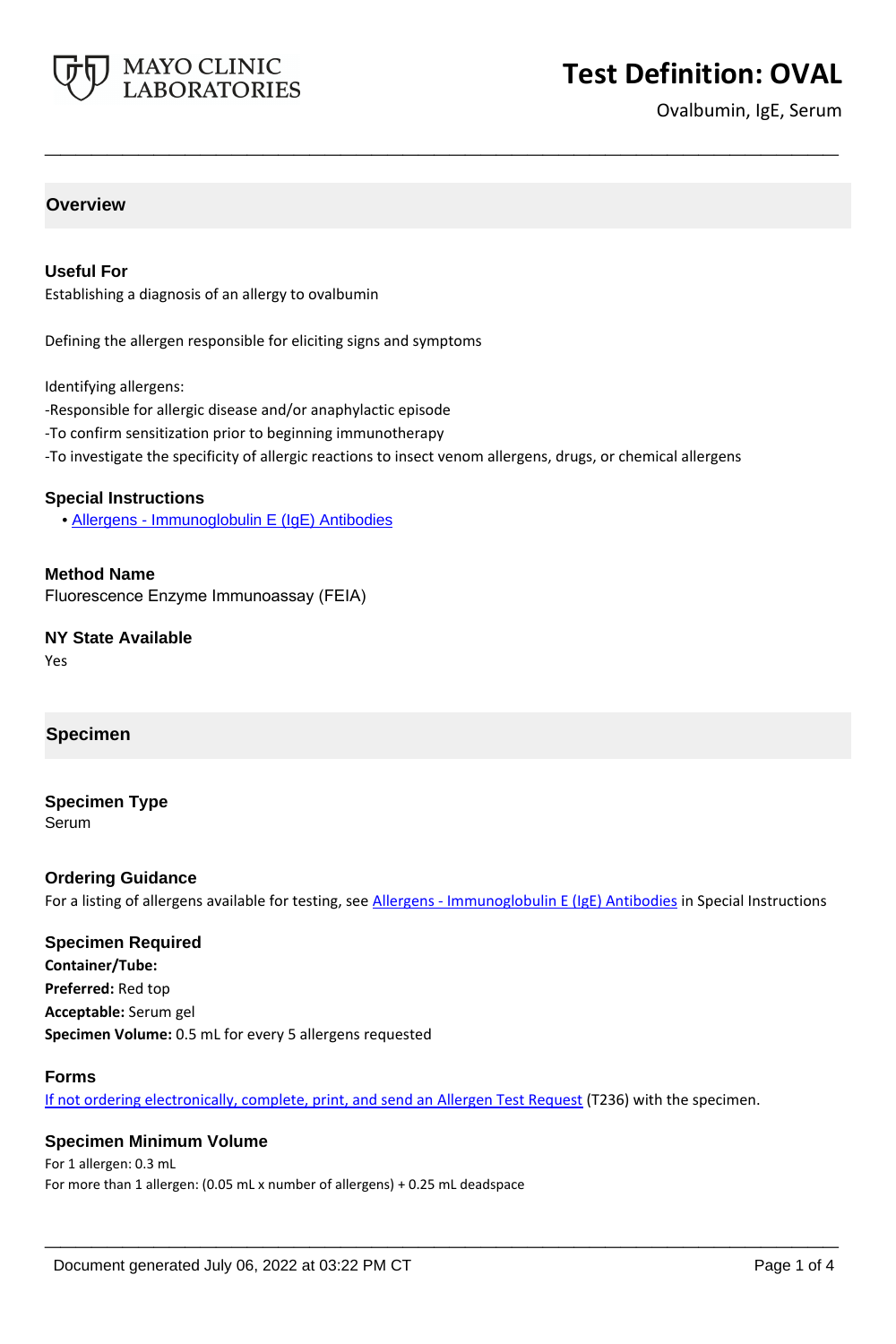

# **Test Definition: OVAL**

Ovalbumin, IgE, Serum

# **Overview**

### **Useful For**

Establishing a diagnosis of an allergy to ovalbumin

Defining the allergen responsible for eliciting signs and symptoms

Identifying allergens:

- -Responsible for allergic disease and/or anaphylactic episode
- -To confirm sensitization prior to beginning immunotherapy
- -To investigate the specificity of allergic reactions to insect venom allergens, drugs, or chemical allergens

**\_\_\_\_\_\_\_\_\_\_\_\_\_\_\_\_\_\_\_\_\_\_\_\_\_\_\_\_\_\_\_\_\_\_\_\_\_\_\_\_\_\_\_\_\_\_\_\_\_\_\_**

#### **Special Instructions**

• [Allergens - Immunoglobulin E \(IgE\) Antibodies](https://www.mayocliniclabs.com/it-mmfiles/Allergens-IgE_Antibodies.pdf)

**Method Name** Fluorescence Enzyme Immunoassay (FEIA)

**NY State Available** Yes

#### **Specimen**

# **Specimen Type**

Serum

#### **Ordering Guidance**

For a listing of allergens available for testing, see [Allergens - Immunoglobulin E \(IgE\) Antibodies](https://www.mayocliniclabs.com/it-mmfiles/Allergens-IgE_Antibodies.pdf) in Special Instructions

## **Specimen Required**

**Container/Tube: Preferred:** Red top **Acceptable:** Serum gel **Specimen Volume:** 0.5 mL for every 5 allergens requested

#### **Forms**

If not ordering electronically, complete, print, and send an [Allergen Test Request](https://www.mayocliniclabs.com/it-mmfiles/allergen-test-request-form.pdf) (T236) with the specimen.

**\_\_\_\_\_\_\_\_\_\_\_\_\_\_\_\_\_\_\_\_\_\_\_\_\_\_\_\_\_\_\_\_\_\_\_\_\_\_\_\_\_\_\_\_\_\_\_\_\_\_\_**

#### **Specimen Minimum Volume**

For 1 allergen: 0.3 mL For more than 1 allergen: (0.05 mL x number of allergens) + 0.25 mL deadspace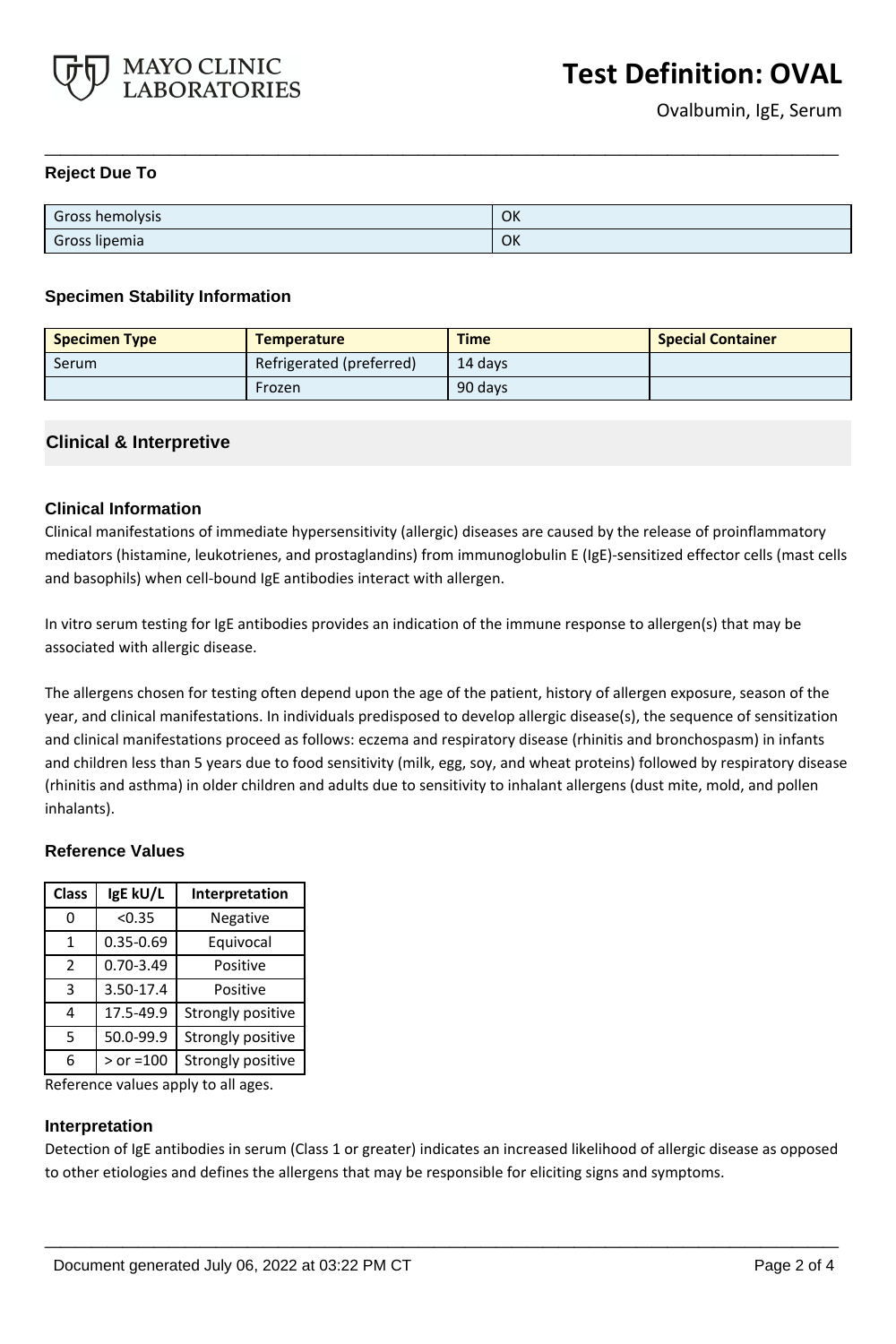

### **Reject Due To**

| Gross hemolysis | OK |
|-----------------|----|
| Gross lipemia   | OK |

**\_\_\_\_\_\_\_\_\_\_\_\_\_\_\_\_\_\_\_\_\_\_\_\_\_\_\_\_\_\_\_\_\_\_\_\_\_\_\_\_\_\_\_\_\_\_\_\_\_\_\_**

#### **Specimen Stability Information**

| <b>Specimen Type</b> | <b>Temperature</b>       | <b>Time</b> | <b>Special Container</b> |
|----------------------|--------------------------|-------------|--------------------------|
| Serum                | Refrigerated (preferred) | 14 davs     |                          |
|                      | Frozen                   | 90 days     |                          |

## **Clinical & Interpretive**

## **Clinical Information**

Clinical manifestations of immediate hypersensitivity (allergic) diseases are caused by the release of proinflammatory mediators (histamine, leukotrienes, and prostaglandins) from immunoglobulin E (IgE)-sensitized effector cells (mast cells and basophils) when cell-bound IgE antibodies interact with allergen.

In vitro serum testing for IgE antibodies provides an indication of the immune response to allergen(s) that may be associated with allergic disease.

The allergens chosen for testing often depend upon the age of the patient, history of allergen exposure, season of the year, and clinical manifestations. In individuals predisposed to develop allergic disease(s), the sequence of sensitization and clinical manifestations proceed as follows: eczema and respiratory disease (rhinitis and bronchospasm) in infants and children less than 5 years due to food sensitivity (milk, egg, soy, and wheat proteins) followed by respiratory disease (rhinitis and asthma) in older children and adults due to sensitivity to inhalant allergens (dust mite, mold, and pollen inhalants).

#### **Reference Values**

| <b>Class</b>  | IgE kU/L      | Interpretation    |
|---------------|---------------|-------------------|
| 0             | < 0.35        | Negative          |
| 1             | 0.35-0.69     | Equivocal         |
| $\mathcal{P}$ | $0.70 - 3.49$ | Positive          |
| 3             | 3.50-17.4     | Positive          |
| 4             | 17.5-49.9     | Strongly positive |
| 5             | 50.0-99.9     | Strongly positive |
| 6             | $>$ or =100   | Strongly positive |

Reference values apply to all ages.

#### **Interpretation**

Detection of IgE antibodies in serum (Class 1 or greater) indicates an increased likelihood of allergic disease as opposed to other etiologies and defines the allergens that may be responsible for eliciting signs and symptoms.

**\_\_\_\_\_\_\_\_\_\_\_\_\_\_\_\_\_\_\_\_\_\_\_\_\_\_\_\_\_\_\_\_\_\_\_\_\_\_\_\_\_\_\_\_\_\_\_\_\_\_\_**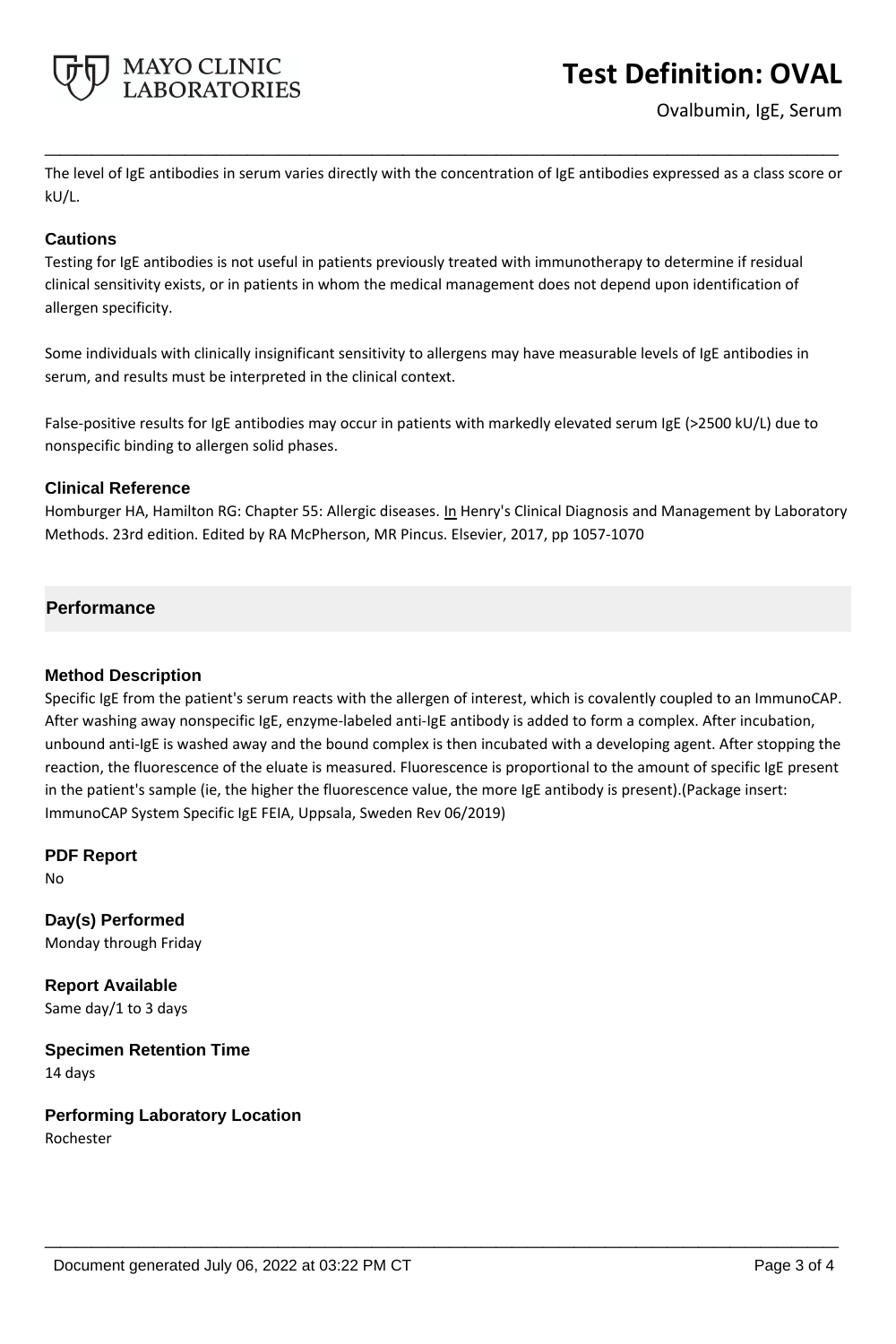

# **Test Definition: OVAL**

Ovalbumin, IgE, Serum

The level of IgE antibodies in serum varies directly with the concentration of IgE antibodies expressed as a class score or kU/L.

**\_\_\_\_\_\_\_\_\_\_\_\_\_\_\_\_\_\_\_\_\_\_\_\_\_\_\_\_\_\_\_\_\_\_\_\_\_\_\_\_\_\_\_\_\_\_\_\_\_\_\_**

## **Cautions**

Testing for IgE antibodies is not useful in patients previously treated with immunotherapy to determine if residual clinical sensitivity exists, or in patients in whom the medical management does not depend upon identification of allergen specificity.

Some individuals with clinically insignificant sensitivity to allergens may have measurable levels of IgE antibodies in serum, and results must be interpreted in the clinical context.

False-positive results for IgE antibodies may occur in patients with markedly elevated serum IgE (>2500 kU/L) due to nonspecific binding to allergen solid phases.

## **Clinical Reference**

Homburger HA, Hamilton RG: Chapter 55: Allergic diseases. In Henry's Clinical Diagnosis and Management by Laboratory Methods. 23rd edition. Edited by RA McPherson, MR Pincus. Elsevier, 2017, pp 1057-1070

## **Performance**

#### **Method Description**

Specific IgE from the patient's serum reacts with the allergen of interest, which is covalently coupled to an ImmunoCAP. After washing away nonspecific IgE, enzyme-labeled anti-IgE antibody is added to form a complex. After incubation, unbound anti-IgE is washed away and the bound complex is then incubated with a developing agent. After stopping the reaction, the fluorescence of the eluate is measured. Fluorescence is proportional to the amount of specific IgE present in the patient's sample (ie, the higher the fluorescence value, the more IgE antibody is present).(Package insert: ImmunoCAP System Specific IgE FEIA, Uppsala, Sweden Rev 06/2019)

**\_\_\_\_\_\_\_\_\_\_\_\_\_\_\_\_\_\_\_\_\_\_\_\_\_\_\_\_\_\_\_\_\_\_\_\_\_\_\_\_\_\_\_\_\_\_\_\_\_\_\_**

**PDF Report** No

**Day(s) Performed** Monday through Friday

**Report Available** Same day/1 to 3 days

**Specimen Retention Time** 14 days

**Performing Laboratory Location** Rochester